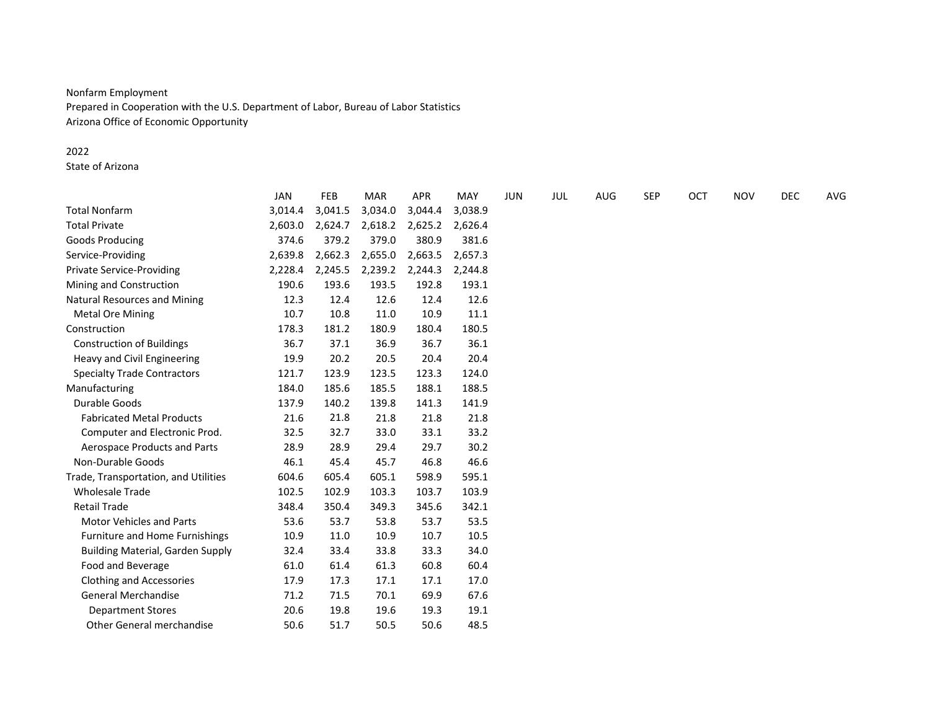# Nonfarm Employment

Prepared in Cooperation with the U.S. Department of Labor, Bureau of Labor Statistics Arizona Office of Economic Opportunity

### 2022

State of Arizona

|                                         | JAN     | <b>FEB</b> | <b>MAR</b> | <b>APR</b> | MAY     | <b>JUN</b> | JUL | AUG | <b>SEP</b> | <b>OCT</b> | <b>NOV</b> | <b>DEC</b> | AVG |
|-----------------------------------------|---------|------------|------------|------------|---------|------------|-----|-----|------------|------------|------------|------------|-----|
| <b>Total Nonfarm</b>                    | 3,014.4 | 3,041.5    | 3,034.0    | 3,044.4    | 3,038.9 |            |     |     |            |            |            |            |     |
| <b>Total Private</b>                    | 2,603.0 | 2,624.7    | 2,618.2    | 2,625.2    | 2,626.4 |            |     |     |            |            |            |            |     |
| Goods Producing                         | 374.6   | 379.2      | 379.0      | 380.9      | 381.6   |            |     |     |            |            |            |            |     |
| Service-Providing                       | 2,639.8 | 2,662.3    | 2,655.0    | 2,663.5    | 2,657.3 |            |     |     |            |            |            |            |     |
| <b>Private Service-Providing</b>        | 2,228.4 | 2,245.5    | 2,239.2    | 2,244.3    | 2,244.8 |            |     |     |            |            |            |            |     |
| Mining and Construction                 | 190.6   | 193.6      | 193.5      | 192.8      | 193.1   |            |     |     |            |            |            |            |     |
| <b>Natural Resources and Mining</b>     | 12.3    | 12.4       | 12.6       | 12.4       | 12.6    |            |     |     |            |            |            |            |     |
| <b>Metal Ore Mining</b>                 | 10.7    | 10.8       | 11.0       | 10.9       | 11.1    |            |     |     |            |            |            |            |     |
| Construction                            | 178.3   | 181.2      | 180.9      | 180.4      | 180.5   |            |     |     |            |            |            |            |     |
| <b>Construction of Buildings</b>        | 36.7    | 37.1       | 36.9       | 36.7       | 36.1    |            |     |     |            |            |            |            |     |
| Heavy and Civil Engineering             | 19.9    | 20.2       | 20.5       | 20.4       | 20.4    |            |     |     |            |            |            |            |     |
| <b>Specialty Trade Contractors</b>      | 121.7   | 123.9      | 123.5      | 123.3      | 124.0   |            |     |     |            |            |            |            |     |
| Manufacturing                           | 184.0   | 185.6      | 185.5      | 188.1      | 188.5   |            |     |     |            |            |            |            |     |
| Durable Goods                           | 137.9   | 140.2      | 139.8      | 141.3      | 141.9   |            |     |     |            |            |            |            |     |
| <b>Fabricated Metal Products</b>        | 21.6    | 21.8       | 21.8       | 21.8       | 21.8    |            |     |     |            |            |            |            |     |
| Computer and Electronic Prod.           | 32.5    | 32.7       | 33.0       | 33.1       | 33.2    |            |     |     |            |            |            |            |     |
| Aerospace Products and Parts            | 28.9    | 28.9       | 29.4       | 29.7       | 30.2    |            |     |     |            |            |            |            |     |
| Non-Durable Goods                       | 46.1    | 45.4       | 45.7       | 46.8       | 46.6    |            |     |     |            |            |            |            |     |
| Trade, Transportation, and Utilities    | 604.6   | 605.4      | 605.1      | 598.9      | 595.1   |            |     |     |            |            |            |            |     |
| <b>Wholesale Trade</b>                  | 102.5   | 102.9      | 103.3      | 103.7      | 103.9   |            |     |     |            |            |            |            |     |
| <b>Retail Trade</b>                     | 348.4   | 350.4      | 349.3      | 345.6      | 342.1   |            |     |     |            |            |            |            |     |
| <b>Motor Vehicles and Parts</b>         | 53.6    | 53.7       | 53.8       | 53.7       | 53.5    |            |     |     |            |            |            |            |     |
| Furniture and Home Furnishings          | 10.9    | 11.0       | 10.9       | 10.7       | 10.5    |            |     |     |            |            |            |            |     |
| <b>Building Material, Garden Supply</b> | 32.4    | 33.4       | 33.8       | 33.3       | 34.0    |            |     |     |            |            |            |            |     |
| Food and Beverage                       | 61.0    | 61.4       | 61.3       | 60.8       | 60.4    |            |     |     |            |            |            |            |     |
| <b>Clothing and Accessories</b>         | 17.9    | 17.3       | 17.1       | 17.1       | 17.0    |            |     |     |            |            |            |            |     |
| <b>General Merchandise</b>              | 71.2    | 71.5       | 70.1       | 69.9       | 67.6    |            |     |     |            |            |            |            |     |
| <b>Department Stores</b>                | 20.6    | 19.8       | 19.6       | 19.3       | 19.1    |            |     |     |            |            |            |            |     |
| <b>Other General merchandise</b>        | 50.6    | 51.7       | 50.5       | 50.6       | 48.5    |            |     |     |            |            |            |            |     |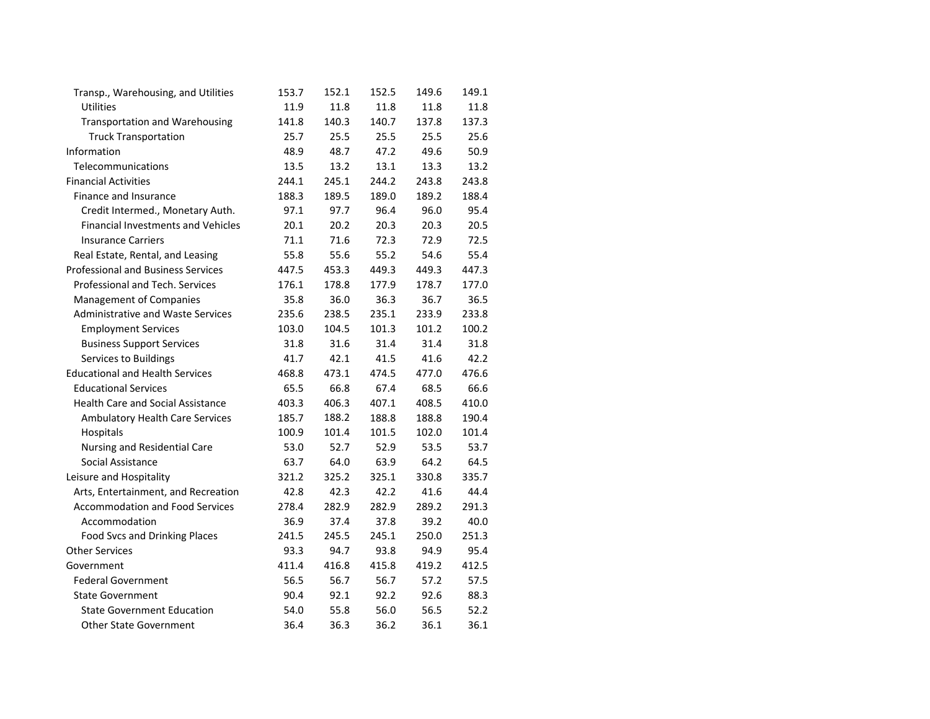| Transp., Warehousing, and Utilities       | 153.7 | 152.1 | 152.5 | 149.6 | 149.1 |
|-------------------------------------------|-------|-------|-------|-------|-------|
| Utilities                                 | 11.9  | 11.8  | 11.8  | 11.8  | 11.8  |
| <b>Transportation and Warehousing</b>     | 141.8 | 140.3 | 140.7 | 137.8 | 137.3 |
| <b>Truck Transportation</b>               | 25.7  | 25.5  | 25.5  | 25.5  | 25.6  |
| Information                               | 48.9  | 48.7  | 47.2  | 49.6  | 50.9  |
| Telecommunications                        | 13.5  | 13.2  | 13.1  | 13.3  | 13.2  |
| <b>Financial Activities</b>               | 244.1 | 245.1 | 244.2 | 243.8 | 243.8 |
| Finance and Insurance                     | 188.3 | 189.5 | 189.0 | 189.2 | 188.4 |
| Credit Intermed., Monetary Auth.          | 97.1  | 97.7  | 96.4  | 96.0  | 95.4  |
| <b>Financial Investments and Vehicles</b> | 20.1  | 20.2  | 20.3  | 20.3  | 20.5  |
| <b>Insurance Carriers</b>                 | 71.1  | 71.6  | 72.3  | 72.9  | 72.5  |
| Real Estate, Rental, and Leasing          | 55.8  | 55.6  | 55.2  | 54.6  | 55.4  |
| <b>Professional and Business Services</b> | 447.5 | 453.3 | 449.3 | 449.3 | 447.3 |
| Professional and Tech. Services           | 176.1 | 178.8 | 177.9 | 178.7 | 177.0 |
| Management of Companies                   | 35.8  | 36.0  | 36.3  | 36.7  | 36.5  |
| Administrative and Waste Services         | 235.6 | 238.5 | 235.1 | 233.9 | 233.8 |
| <b>Employment Services</b>                | 103.0 | 104.5 | 101.3 | 101.2 | 100.2 |
| <b>Business Support Services</b>          | 31.8  | 31.6  | 31.4  | 31.4  | 31.8  |
| Services to Buildings                     | 41.7  | 42.1  | 41.5  | 41.6  | 42.2  |
| <b>Educational and Health Services</b>    | 468.8 | 473.1 | 474.5 | 477.0 | 476.6 |
| <b>Educational Services</b>               | 65.5  | 66.8  | 67.4  | 68.5  | 66.6  |
| <b>Health Care and Social Assistance</b>  | 403.3 | 406.3 | 407.1 | 408.5 | 410.0 |
| Ambulatory Health Care Services           | 185.7 | 188.2 | 188.8 | 188.8 | 190.4 |
| Hospitals                                 | 100.9 | 101.4 | 101.5 | 102.0 | 101.4 |
| Nursing and Residential Care              | 53.0  | 52.7  | 52.9  | 53.5  | 53.7  |
| Social Assistance                         | 63.7  | 64.0  | 63.9  | 64.2  | 64.5  |
| Leisure and Hospitality                   | 321.2 | 325.2 | 325.1 | 330.8 | 335.7 |
| Arts, Entertainment, and Recreation       | 42.8  | 42.3  | 42.2  | 41.6  | 44.4  |
| <b>Accommodation and Food Services</b>    | 278.4 | 282.9 | 282.9 | 289.2 | 291.3 |
| Accommodation                             | 36.9  | 37.4  | 37.8  | 39.2  | 40.0  |
| Food Svcs and Drinking Places             | 241.5 | 245.5 | 245.1 | 250.0 | 251.3 |
| <b>Other Services</b>                     | 93.3  | 94.7  | 93.8  | 94.9  | 95.4  |
| Government                                | 411.4 | 416.8 | 415.8 | 419.2 | 412.5 |
| <b>Federal Government</b>                 | 56.5  | 56.7  | 56.7  | 57.2  | 57.5  |
| <b>State Government</b>                   | 90.4  | 92.1  | 92.2  | 92.6  | 88.3  |
| <b>State Government Education</b>         | 54.0  | 55.8  | 56.0  | 56.5  | 52.2  |
| <b>Other State Government</b>             | 36.4  | 36.3  | 36.2  | 36.1  | 36.1  |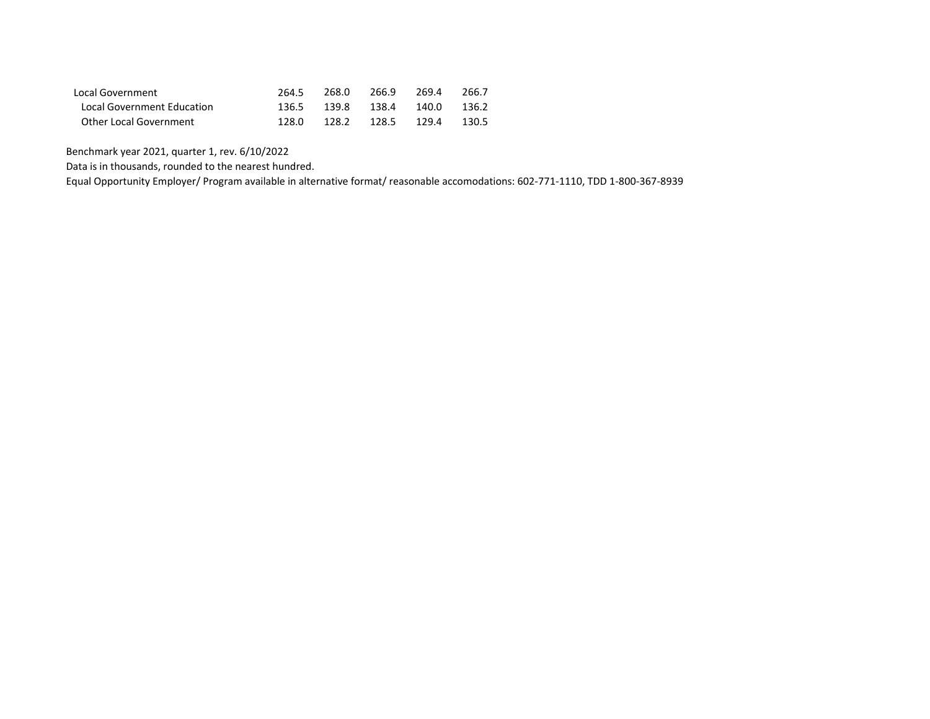| Local Government           | 264.5 | 268.0 | 266.9                   | 269.4 | 266.7 |
|----------------------------|-------|-------|-------------------------|-------|-------|
| Local Government Education |       |       | 136.5 139.8 138.4 140.0 |       | 136.2 |
| Other Local Government     | 128.0 |       | 128.2 128.5 129.4 130.5 |       |       |

Benchmark year 2021, quarter 1, rev. 6/10/2022

Data is in thousands, rounded to the nearest hundred.

Equal Opportunity Employer/ Program available in alternative format/ reasonable accomodations: 602-771-1110, TDD 1-800-367-8939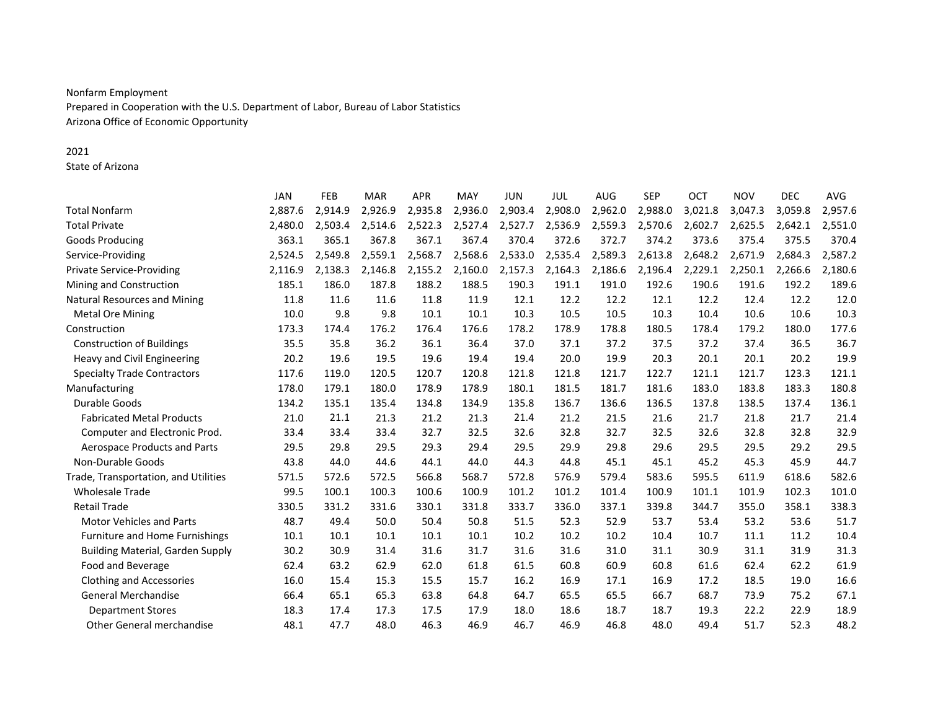### Nonfarm Employment

Prepared in Cooperation with the U.S. Department of Labor, Bureau of Labor Statistics Arizona Office of Economic Opportunity

### 2021

State of Arizona

|                                         | <b>JAN</b> | FEB     | <b>MAR</b> | <b>APR</b> | <b>MAY</b> | <b>JUN</b> | <b>JUL</b> | AUG     | <b>SEP</b> | <b>OCT</b> | <b>NOV</b> | <b>DEC</b> | <b>AVG</b> |
|-----------------------------------------|------------|---------|------------|------------|------------|------------|------------|---------|------------|------------|------------|------------|------------|
| <b>Total Nonfarm</b>                    | 2,887.6    | 2,914.9 | 2,926.9    | 2,935.8    | 2,936.0    | 2,903.4    | 2,908.0    | 2,962.0 | 2,988.0    | 3,021.8    | 3,047.3    | 3,059.8    | 2,957.6    |
| <b>Total Private</b>                    | 2,480.0    | 2,503.4 | 2,514.6    | 2,522.3    | 2,527.4    | 2,527.7    | 2,536.9    | 2,559.3 | 2,570.6    | 2,602.7    | 2,625.5    | 2,642.1    | 2,551.0    |
| Goods Producing                         | 363.1      | 365.1   | 367.8      | 367.1      | 367.4      | 370.4      | 372.6      | 372.7   | 374.2      | 373.6      | 375.4      | 375.5      | 370.4      |
| Service-Providing                       | 2,524.5    | 2,549.8 | 2,559.1    | 2,568.7    | 2,568.6    | 2,533.0    | 2,535.4    | 2,589.3 | 2,613.8    | 2,648.2    | 2,671.9    | 2,684.3    | 2,587.2    |
| <b>Private Service-Providing</b>        | 2,116.9    | 2,138.3 | 2,146.8    | 2,155.2    | 2,160.0    | 2,157.3    | 2,164.3    | 2,186.6 | 2,196.4    | 2,229.1    | 2,250.1    | 2,266.6    | 2,180.6    |
| Mining and Construction                 | 185.1      | 186.0   | 187.8      | 188.2      | 188.5      | 190.3      | 191.1      | 191.0   | 192.6      | 190.6      | 191.6      | 192.2      | 189.6      |
| <b>Natural Resources and Mining</b>     | 11.8       | 11.6    | 11.6       | 11.8       | 11.9       | 12.1       | 12.2       | 12.2    | 12.1       | 12.2       | 12.4       | 12.2       | 12.0       |
| <b>Metal Ore Mining</b>                 | 10.0       | 9.8     | 9.8        | 10.1       | 10.1       | 10.3       | 10.5       | 10.5    | 10.3       | 10.4       | 10.6       | 10.6       | 10.3       |
| Construction                            | 173.3      | 174.4   | 176.2      | 176.4      | 176.6      | 178.2      | 178.9      | 178.8   | 180.5      | 178.4      | 179.2      | 180.0      | 177.6      |
| <b>Construction of Buildings</b>        | 35.5       | 35.8    | 36.2       | 36.1       | 36.4       | 37.0       | 37.1       | 37.2    | 37.5       | 37.2       | 37.4       | 36.5       | 36.7       |
| Heavy and Civil Engineering             | 20.2       | 19.6    | 19.5       | 19.6       | 19.4       | 19.4       | 20.0       | 19.9    | 20.3       | 20.1       | 20.1       | 20.2       | 19.9       |
| <b>Specialty Trade Contractors</b>      | 117.6      | 119.0   | 120.5      | 120.7      | 120.8      | 121.8      | 121.8      | 121.7   | 122.7      | 121.1      | 121.7      | 123.3      | 121.1      |
| Manufacturing                           | 178.0      | 179.1   | 180.0      | 178.9      | 178.9      | 180.1      | 181.5      | 181.7   | 181.6      | 183.0      | 183.8      | 183.3      | 180.8      |
| Durable Goods                           | 134.2      | 135.1   | 135.4      | 134.8      | 134.9      | 135.8      | 136.7      | 136.6   | 136.5      | 137.8      | 138.5      | 137.4      | 136.1      |
| <b>Fabricated Metal Products</b>        | 21.0       | 21.1    | 21.3       | 21.2       | 21.3       | 21.4       | 21.2       | 21.5    | 21.6       | 21.7       | 21.8       | 21.7       | 21.4       |
| Computer and Electronic Prod.           | 33.4       | 33.4    | 33.4       | 32.7       | 32.5       | 32.6       | 32.8       | 32.7    | 32.5       | 32.6       | 32.8       | 32.8       | 32.9       |
| Aerospace Products and Parts            | 29.5       | 29.8    | 29.5       | 29.3       | 29.4       | 29.5       | 29.9       | 29.8    | 29.6       | 29.5       | 29.5       | 29.2       | 29.5       |
| Non-Durable Goods                       | 43.8       | 44.0    | 44.6       | 44.1       | 44.0       | 44.3       | 44.8       | 45.1    | 45.1       | 45.2       | 45.3       | 45.9       | 44.7       |
| Trade, Transportation, and Utilities    | 571.5      | 572.6   | 572.5      | 566.8      | 568.7      | 572.8      | 576.9      | 579.4   | 583.6      | 595.5      | 611.9      | 618.6      | 582.6      |
| <b>Wholesale Trade</b>                  | 99.5       | 100.1   | 100.3      | 100.6      | 100.9      | 101.2      | 101.2      | 101.4   | 100.9      | 101.1      | 101.9      | 102.3      | 101.0      |
| <b>Retail Trade</b>                     | 330.5      | 331.2   | 331.6      | 330.1      | 331.8      | 333.7      | 336.0      | 337.1   | 339.8      | 344.7      | 355.0      | 358.1      | 338.3      |
| <b>Motor Vehicles and Parts</b>         | 48.7       | 49.4    | 50.0       | 50.4       | 50.8       | 51.5       | 52.3       | 52.9    | 53.7       | 53.4       | 53.2       | 53.6       | 51.7       |
| Furniture and Home Furnishings          | 10.1       | 10.1    | 10.1       | 10.1       | 10.1       | 10.2       | 10.2       | 10.2    | 10.4       | 10.7       | 11.1       | 11.2       | 10.4       |
| <b>Building Material, Garden Supply</b> | 30.2       | 30.9    | 31.4       | 31.6       | 31.7       | 31.6       | 31.6       | 31.0    | 31.1       | 30.9       | 31.1       | 31.9       | 31.3       |
| Food and Beverage                       | 62.4       | 63.2    | 62.9       | 62.0       | 61.8       | 61.5       | 60.8       | 60.9    | 60.8       | 61.6       | 62.4       | 62.2       | 61.9       |
| <b>Clothing and Accessories</b>         | 16.0       | 15.4    | 15.3       | 15.5       | 15.7       | 16.2       | 16.9       | 17.1    | 16.9       | 17.2       | 18.5       | 19.0       | 16.6       |
| <b>General Merchandise</b>              | 66.4       | 65.1    | 65.3       | 63.8       | 64.8       | 64.7       | 65.5       | 65.5    | 66.7       | 68.7       | 73.9       | 75.2       | 67.1       |
| <b>Department Stores</b>                | 18.3       | 17.4    | 17.3       | 17.5       | 17.9       | 18.0       | 18.6       | 18.7    | 18.7       | 19.3       | 22.2       | 22.9       | 18.9       |
| <b>Other General merchandise</b>        | 48.1       | 47.7    | 48.0       | 46.3       | 46.9       | 46.7       | 46.9       | 46.8    | 48.0       | 49.4       | 51.7       | 52.3       | 48.2       |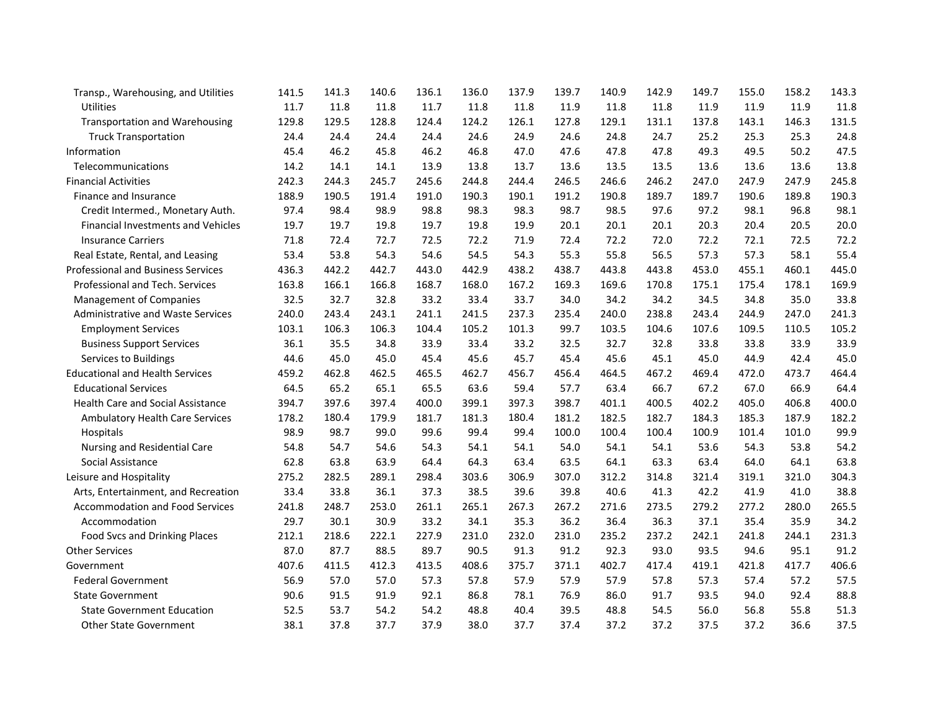| Transp., Warehousing, and Utilities       | 141.5 | 141.3 | 140.6 | 136.1 | 136.0 | 137.9 | 139.7 | 140.9 | 142.9 | 149.7 | 155.0 | 158.2 | 143.3 |
|-------------------------------------------|-------|-------|-------|-------|-------|-------|-------|-------|-------|-------|-------|-------|-------|
| Utilities                                 | 11.7  | 11.8  | 11.8  | 11.7  | 11.8  | 11.8  | 11.9  | 11.8  | 11.8  | 11.9  | 11.9  | 11.9  | 11.8  |
| <b>Transportation and Warehousing</b>     | 129.8 | 129.5 | 128.8 | 124.4 | 124.2 | 126.1 | 127.8 | 129.1 | 131.1 | 137.8 | 143.1 | 146.3 | 131.5 |
| <b>Truck Transportation</b>               | 24.4  | 24.4  | 24.4  | 24.4  | 24.6  | 24.9  | 24.6  | 24.8  | 24.7  | 25.2  | 25.3  | 25.3  | 24.8  |
| Information                               | 45.4  | 46.2  | 45.8  | 46.2  | 46.8  | 47.0  | 47.6  | 47.8  | 47.8  | 49.3  | 49.5  | 50.2  | 47.5  |
| Telecommunications                        | 14.2  | 14.1  | 14.1  | 13.9  | 13.8  | 13.7  | 13.6  | 13.5  | 13.5  | 13.6  | 13.6  | 13.6  | 13.8  |
| <b>Financial Activities</b>               | 242.3 | 244.3 | 245.7 | 245.6 | 244.8 | 244.4 | 246.5 | 246.6 | 246.2 | 247.0 | 247.9 | 247.9 | 245.8 |
| Finance and Insurance                     | 188.9 | 190.5 | 191.4 | 191.0 | 190.3 | 190.1 | 191.2 | 190.8 | 189.7 | 189.7 | 190.6 | 189.8 | 190.3 |
| Credit Intermed., Monetary Auth.          | 97.4  | 98.4  | 98.9  | 98.8  | 98.3  | 98.3  | 98.7  | 98.5  | 97.6  | 97.2  | 98.1  | 96.8  | 98.1  |
| <b>Financial Investments and Vehicles</b> | 19.7  | 19.7  | 19.8  | 19.7  | 19.8  | 19.9  | 20.1  | 20.1  | 20.1  | 20.3  | 20.4  | 20.5  | 20.0  |
| <b>Insurance Carriers</b>                 | 71.8  | 72.4  | 72.7  | 72.5  | 72.2  | 71.9  | 72.4  | 72.2  | 72.0  | 72.2  | 72.1  | 72.5  | 72.2  |
| Real Estate, Rental, and Leasing          | 53.4  | 53.8  | 54.3  | 54.6  | 54.5  | 54.3  | 55.3  | 55.8  | 56.5  | 57.3  | 57.3  | 58.1  | 55.4  |
| <b>Professional and Business Services</b> | 436.3 | 442.2 | 442.7 | 443.0 | 442.9 | 438.2 | 438.7 | 443.8 | 443.8 | 453.0 | 455.1 | 460.1 | 445.0 |
| Professional and Tech. Services           | 163.8 | 166.1 | 166.8 | 168.7 | 168.0 | 167.2 | 169.3 | 169.6 | 170.8 | 175.1 | 175.4 | 178.1 | 169.9 |
| <b>Management of Companies</b>            | 32.5  | 32.7  | 32.8  | 33.2  | 33.4  | 33.7  | 34.0  | 34.2  | 34.2  | 34.5  | 34.8  | 35.0  | 33.8  |
| <b>Administrative and Waste Services</b>  | 240.0 | 243.4 | 243.1 | 241.1 | 241.5 | 237.3 | 235.4 | 240.0 | 238.8 | 243.4 | 244.9 | 247.0 | 241.3 |
| <b>Employment Services</b>                | 103.1 | 106.3 | 106.3 | 104.4 | 105.2 | 101.3 | 99.7  | 103.5 | 104.6 | 107.6 | 109.5 | 110.5 | 105.2 |
| <b>Business Support Services</b>          | 36.1  | 35.5  | 34.8  | 33.9  | 33.4  | 33.2  | 32.5  | 32.7  | 32.8  | 33.8  | 33.8  | 33.9  | 33.9  |
| Services to Buildings                     | 44.6  | 45.0  | 45.0  | 45.4  | 45.6  | 45.7  | 45.4  | 45.6  | 45.1  | 45.0  | 44.9  | 42.4  | 45.0  |
| <b>Educational and Health Services</b>    | 459.2 | 462.8 | 462.5 | 465.5 | 462.7 | 456.7 | 456.4 | 464.5 | 467.2 | 469.4 | 472.0 | 473.7 | 464.4 |
| <b>Educational Services</b>               | 64.5  | 65.2  | 65.1  | 65.5  | 63.6  | 59.4  | 57.7  | 63.4  | 66.7  | 67.2  | 67.0  | 66.9  | 64.4  |
| Health Care and Social Assistance         | 394.7 | 397.6 | 397.4 | 400.0 | 399.1 | 397.3 | 398.7 | 401.1 | 400.5 | 402.2 | 405.0 | 406.8 | 400.0 |
| Ambulatory Health Care Services           | 178.2 | 180.4 | 179.9 | 181.7 | 181.3 | 180.4 | 181.2 | 182.5 | 182.7 | 184.3 | 185.3 | 187.9 | 182.2 |
| Hospitals                                 | 98.9  | 98.7  | 99.0  | 99.6  | 99.4  | 99.4  | 100.0 | 100.4 | 100.4 | 100.9 | 101.4 | 101.0 | 99.9  |
| Nursing and Residential Care              | 54.8  | 54.7  | 54.6  | 54.3  | 54.1  | 54.1  | 54.0  | 54.1  | 54.1  | 53.6  | 54.3  | 53.8  | 54.2  |
| Social Assistance                         | 62.8  | 63.8  | 63.9  | 64.4  | 64.3  | 63.4  | 63.5  | 64.1  | 63.3  | 63.4  | 64.0  | 64.1  | 63.8  |
| Leisure and Hospitality                   | 275.2 | 282.5 | 289.1 | 298.4 | 303.6 | 306.9 | 307.0 | 312.2 | 314.8 | 321.4 | 319.1 | 321.0 | 304.3 |
| Arts, Entertainment, and Recreation       | 33.4  | 33.8  | 36.1  | 37.3  | 38.5  | 39.6  | 39.8  | 40.6  | 41.3  | 42.2  | 41.9  | 41.0  | 38.8  |
| <b>Accommodation and Food Services</b>    | 241.8 | 248.7 | 253.0 | 261.1 | 265.1 | 267.3 | 267.2 | 271.6 | 273.5 | 279.2 | 277.2 | 280.0 | 265.5 |
| Accommodation                             | 29.7  | 30.1  | 30.9  | 33.2  | 34.1  | 35.3  | 36.2  | 36.4  | 36.3  | 37.1  | 35.4  | 35.9  | 34.2  |
| Food Svcs and Drinking Places             | 212.1 | 218.6 | 222.1 | 227.9 | 231.0 | 232.0 | 231.0 | 235.2 | 237.2 | 242.1 | 241.8 | 244.1 | 231.3 |
| <b>Other Services</b>                     | 87.0  | 87.7  | 88.5  | 89.7  | 90.5  | 91.3  | 91.2  | 92.3  | 93.0  | 93.5  | 94.6  | 95.1  | 91.2  |
| Government                                | 407.6 | 411.5 | 412.3 | 413.5 | 408.6 | 375.7 | 371.1 | 402.7 | 417.4 | 419.1 | 421.8 | 417.7 | 406.6 |
| <b>Federal Government</b>                 | 56.9  | 57.0  | 57.0  | 57.3  | 57.8  | 57.9  | 57.9  | 57.9  | 57.8  | 57.3  | 57.4  | 57.2  | 57.5  |
| <b>State Government</b>                   | 90.6  | 91.5  | 91.9  | 92.1  | 86.8  | 78.1  | 76.9  | 86.0  | 91.7  | 93.5  | 94.0  | 92.4  | 88.8  |
| <b>State Government Education</b>         | 52.5  | 53.7  | 54.2  | 54.2  | 48.8  | 40.4  | 39.5  | 48.8  | 54.5  | 56.0  | 56.8  | 55.8  | 51.3  |
| <b>Other State Government</b>             | 38.1  | 37.8  | 37.7  | 37.9  | 38.0  | 37.7  | 37.4  | 37.2  | 37.2  | 37.5  | 37.2  | 36.6  | 37.5  |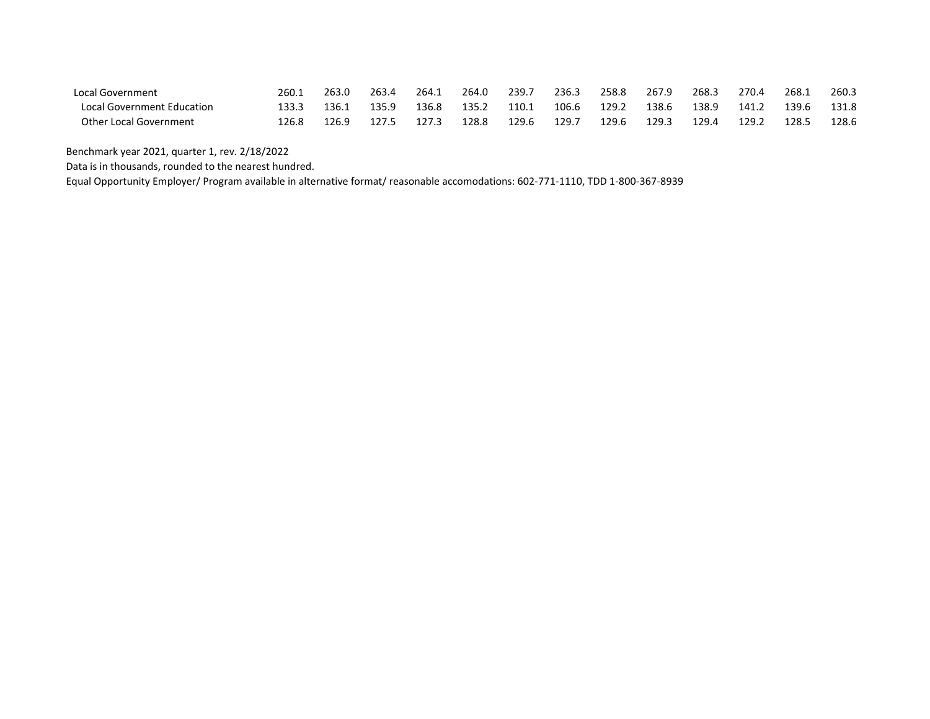| Local Government                  | 260.1 | 263.0 | 263.4 | 264.1 | 264.0 | 239.7 | 236.3 | 258.8 | 267.9 | 268.3 | 270.4 | 268.1 | 260.3 |
|-----------------------------------|-------|-------|-------|-------|-------|-------|-------|-------|-------|-------|-------|-------|-------|
| <b>Local Government Education</b> | 133.3 | 136.1 | 135.9 | 136.8 | 135.2 | 110.1 | 106.6 | 129.2 | 138.6 | 138.9 | 141.2 | 139.6 | 131.8 |
| <b>Other Local Government</b>     | 126.8 | 126.9 | 127.5 | 127.3 | 128.8 | 129.6 | 129.  | 129.6 | 129.3 | 129.4 | 129.2 | 128.  | 128.6 |

Benchmark year 2021, quarter 1, rev. 2/18/2022

Data is in thousands, rounded to the nearest hundred.

Equal Opportunity Employer/ Program available in alternative format/ reasonable accomodations: 602-771-1110, TDD 1-800-367-8939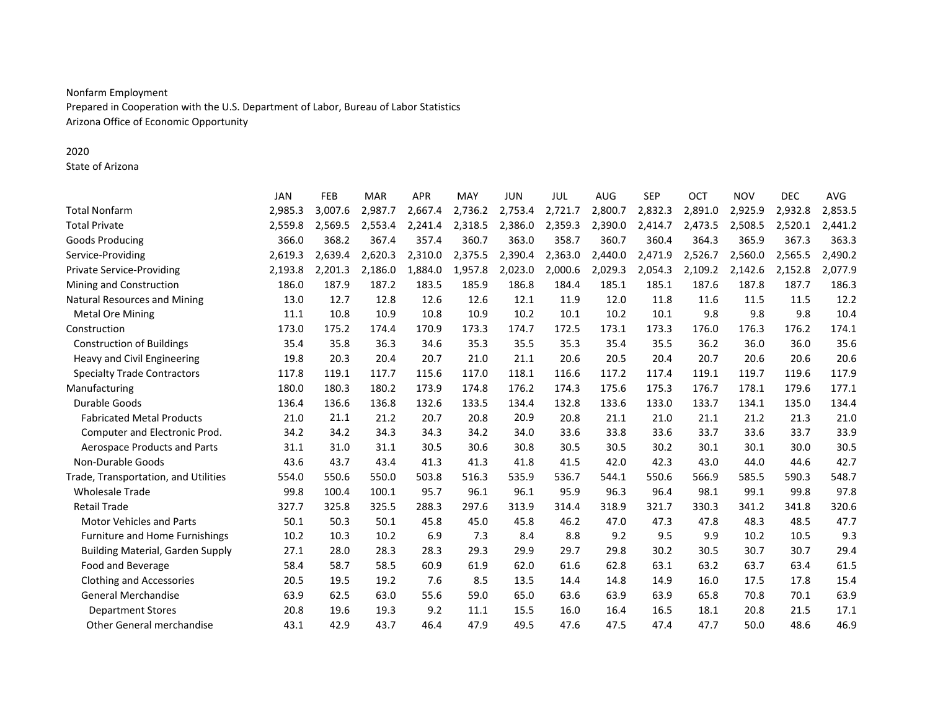## Nonfarm Employment

Prepared in Cooperation with the U.S. Department of Labor, Bureau of Labor Statistics Arizona Office of Economic Opportunity

### 2020

State of Arizona

|                                         | <b>JAN</b> | <b>FEB</b> | <b>MAR</b> | <b>APR</b> | MAY     | <b>JUN</b> | <b>JUL</b> | <b>AUG</b> | <b>SEP</b> | OCT     | <b>NOV</b> | <b>DEC</b> | <b>AVG</b> |
|-----------------------------------------|------------|------------|------------|------------|---------|------------|------------|------------|------------|---------|------------|------------|------------|
| <b>Total Nonfarm</b>                    | 2,985.3    | 3,007.6    | 2,987.7    | 2,667.4    | 2,736.2 | 2,753.4    | 2,721.7    | 2,800.7    | 2,832.3    | 2,891.0 | 2,925.9    | 2,932.8    | 2,853.5    |
| <b>Total Private</b>                    | 2,559.8    | 2,569.5    | 2,553.4    | 2,241.4    | 2,318.5 | 2,386.0    | 2,359.3    | 2,390.0    | 2,414.7    | 2,473.5 | 2,508.5    | 2,520.1    | 2,441.2    |
| <b>Goods Producing</b>                  | 366.0      | 368.2      | 367.4      | 357.4      | 360.7   | 363.0      | 358.7      | 360.7      | 360.4      | 364.3   | 365.9      | 367.3      | 363.3      |
| Service-Providing                       | 2,619.3    | 2,639.4    | 2,620.3    | 2,310.0    | 2,375.5 | 2,390.4    | 2,363.0    | 2,440.0    | 2,471.9    | 2,526.7 | 2,560.0    | 2,565.5    | 2,490.2    |
| <b>Private Service-Providing</b>        | 2,193.8    | 2,201.3    | 2,186.0    | 1,884.0    | 1,957.8 | 2,023.0    | 2,000.6    | 2,029.3    | 2,054.3    | 2,109.2 | 2,142.6    | 2,152.8    | 2,077.9    |
| Mining and Construction                 | 186.0      | 187.9      | 187.2      | 183.5      | 185.9   | 186.8      | 184.4      | 185.1      | 185.1      | 187.6   | 187.8      | 187.7      | 186.3      |
| <b>Natural Resources and Mining</b>     | 13.0       | 12.7       | 12.8       | 12.6       | 12.6    | 12.1       | 11.9       | 12.0       | 11.8       | 11.6    | 11.5       | 11.5       | 12.2       |
| <b>Metal Ore Mining</b>                 | 11.1       | 10.8       | 10.9       | 10.8       | 10.9    | 10.2       | 10.1       | 10.2       | 10.1       | 9.8     | 9.8        | 9.8        | 10.4       |
| Construction                            | 173.0      | 175.2      | 174.4      | 170.9      | 173.3   | 174.7      | 172.5      | 173.1      | 173.3      | 176.0   | 176.3      | 176.2      | 174.1      |
| <b>Construction of Buildings</b>        | 35.4       | 35.8       | 36.3       | 34.6       | 35.3    | 35.5       | 35.3       | 35.4       | 35.5       | 36.2    | 36.0       | 36.0       | 35.6       |
| Heavy and Civil Engineering             | 19.8       | 20.3       | 20.4       | 20.7       | 21.0    | 21.1       | 20.6       | 20.5       | 20.4       | 20.7    | 20.6       | 20.6       | 20.6       |
| <b>Specialty Trade Contractors</b>      | 117.8      | 119.1      | 117.7      | 115.6      | 117.0   | 118.1      | 116.6      | 117.2      | 117.4      | 119.1   | 119.7      | 119.6      | 117.9      |
| Manufacturing                           | 180.0      | 180.3      | 180.2      | 173.9      | 174.8   | 176.2      | 174.3      | 175.6      | 175.3      | 176.7   | 178.1      | 179.6      | 177.1      |
| Durable Goods                           | 136.4      | 136.6      | 136.8      | 132.6      | 133.5   | 134.4      | 132.8      | 133.6      | 133.0      | 133.7   | 134.1      | 135.0      | 134.4      |
| <b>Fabricated Metal Products</b>        | 21.0       | 21.1       | 21.2       | 20.7       | 20.8    | 20.9       | 20.8       | 21.1       | 21.0       | 21.1    | 21.2       | 21.3       | 21.0       |
| Computer and Electronic Prod.           | 34.2       | 34.2       | 34.3       | 34.3       | 34.2    | 34.0       | 33.6       | 33.8       | 33.6       | 33.7    | 33.6       | 33.7       | 33.9       |
| Aerospace Products and Parts            | 31.1       | 31.0       | 31.1       | 30.5       | 30.6    | 30.8       | 30.5       | 30.5       | 30.2       | 30.1    | 30.1       | 30.0       | 30.5       |
| Non-Durable Goods                       | 43.6       | 43.7       | 43.4       | 41.3       | 41.3    | 41.8       | 41.5       | 42.0       | 42.3       | 43.0    | 44.0       | 44.6       | 42.7       |
| Trade, Transportation, and Utilities    | 554.0      | 550.6      | 550.0      | 503.8      | 516.3   | 535.9      | 536.7      | 544.1      | 550.6      | 566.9   | 585.5      | 590.3      | 548.7      |
| <b>Wholesale Trade</b>                  | 99.8       | 100.4      | 100.1      | 95.7       | 96.1    | 96.1       | 95.9       | 96.3       | 96.4       | 98.1    | 99.1       | 99.8       | 97.8       |
| <b>Retail Trade</b>                     | 327.7      | 325.8      | 325.5      | 288.3      | 297.6   | 313.9      | 314.4      | 318.9      | 321.7      | 330.3   | 341.2      | 341.8      | 320.6      |
| <b>Motor Vehicles and Parts</b>         | 50.1       | 50.3       | 50.1       | 45.8       | 45.0    | 45.8       | 46.2       | 47.0       | 47.3       | 47.8    | 48.3       | 48.5       | 47.7       |
| Furniture and Home Furnishings          | 10.2       | 10.3       | 10.2       | 6.9        | 7.3     | 8.4        | 8.8        | 9.2        | 9.5        | 9.9     | 10.2       | 10.5       | 9.3        |
| <b>Building Material, Garden Supply</b> | 27.1       | 28.0       | 28.3       | 28.3       | 29.3    | 29.9       | 29.7       | 29.8       | 30.2       | 30.5    | 30.7       | 30.7       | 29.4       |
| Food and Beverage                       | 58.4       | 58.7       | 58.5       | 60.9       | 61.9    | 62.0       | 61.6       | 62.8       | 63.1       | 63.2    | 63.7       | 63.4       | 61.5       |
| <b>Clothing and Accessories</b>         | 20.5       | 19.5       | 19.2       | 7.6        | 8.5     | 13.5       | 14.4       | 14.8       | 14.9       | 16.0    | 17.5       | 17.8       | 15.4       |
| <b>General Merchandise</b>              | 63.9       | 62.5       | 63.0       | 55.6       | 59.0    | 65.0       | 63.6       | 63.9       | 63.9       | 65.8    | 70.8       | 70.1       | 63.9       |
| <b>Department Stores</b>                | 20.8       | 19.6       | 19.3       | 9.2        | 11.1    | 15.5       | 16.0       | 16.4       | 16.5       | 18.1    | 20.8       | 21.5       | 17.1       |
| <b>Other General merchandise</b>        | 43.1       | 42.9       | 43.7       | 46.4       | 47.9    | 49.5       | 47.6       | 47.5       | 47.4       | 47.7    | 50.0       | 48.6       | 46.9       |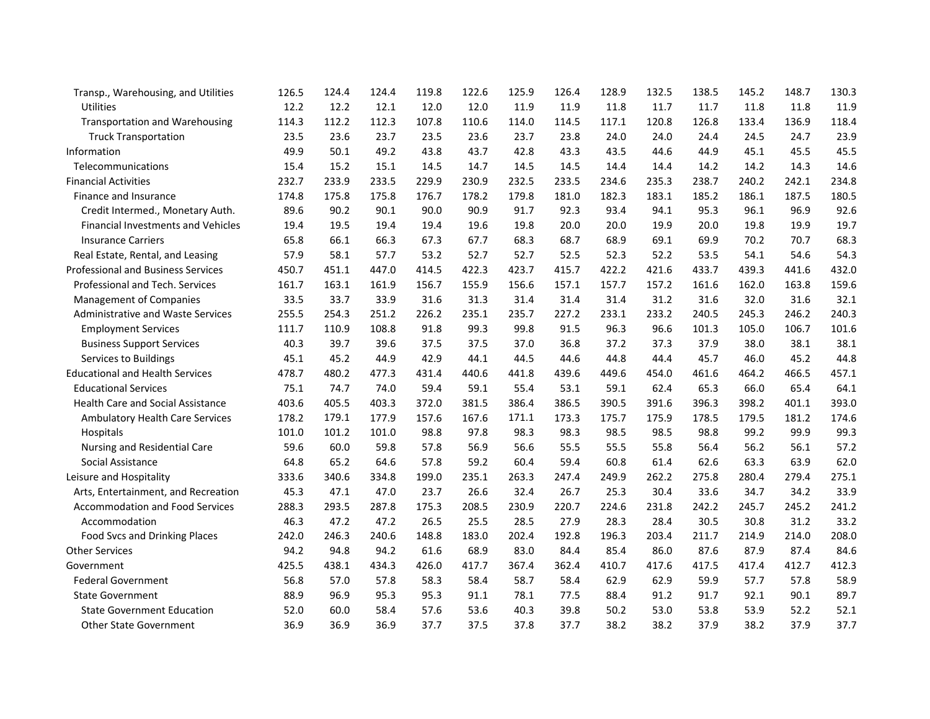| Transp., Warehousing, and Utilities       | 126.5 | 124.4 | 124.4 | 119.8 | 122.6 | 125.9 | 126.4 | 128.9 | 132.5 | 138.5 | 145.2 | 148.7 | 130.3 |
|-------------------------------------------|-------|-------|-------|-------|-------|-------|-------|-------|-------|-------|-------|-------|-------|
| Utilities                                 | 12.2  | 12.2  | 12.1  | 12.0  | 12.0  | 11.9  | 11.9  | 11.8  | 11.7  | 11.7  | 11.8  | 11.8  | 11.9  |
| <b>Transportation and Warehousing</b>     | 114.3 | 112.2 | 112.3 | 107.8 | 110.6 | 114.0 | 114.5 | 117.1 | 120.8 | 126.8 | 133.4 | 136.9 | 118.4 |
| <b>Truck Transportation</b>               | 23.5  | 23.6  | 23.7  | 23.5  | 23.6  | 23.7  | 23.8  | 24.0  | 24.0  | 24.4  | 24.5  | 24.7  | 23.9  |
| Information                               | 49.9  | 50.1  | 49.2  | 43.8  | 43.7  | 42.8  | 43.3  | 43.5  | 44.6  | 44.9  | 45.1  | 45.5  | 45.5  |
| Telecommunications                        | 15.4  | 15.2  | 15.1  | 14.5  | 14.7  | 14.5  | 14.5  | 14.4  | 14.4  | 14.2  | 14.2  | 14.3  | 14.6  |
| <b>Financial Activities</b>               | 232.7 | 233.9 | 233.5 | 229.9 | 230.9 | 232.5 | 233.5 | 234.6 | 235.3 | 238.7 | 240.2 | 242.1 | 234.8 |
| Finance and Insurance                     | 174.8 | 175.8 | 175.8 | 176.7 | 178.2 | 179.8 | 181.0 | 182.3 | 183.1 | 185.2 | 186.1 | 187.5 | 180.5 |
| Credit Intermed., Monetary Auth.          | 89.6  | 90.2  | 90.1  | 90.0  | 90.9  | 91.7  | 92.3  | 93.4  | 94.1  | 95.3  | 96.1  | 96.9  | 92.6  |
| <b>Financial Investments and Vehicles</b> | 19.4  | 19.5  | 19.4  | 19.4  | 19.6  | 19.8  | 20.0  | 20.0  | 19.9  | 20.0  | 19.8  | 19.9  | 19.7  |
| <b>Insurance Carriers</b>                 | 65.8  | 66.1  | 66.3  | 67.3  | 67.7  | 68.3  | 68.7  | 68.9  | 69.1  | 69.9  | 70.2  | 70.7  | 68.3  |
| Real Estate, Rental, and Leasing          | 57.9  | 58.1  | 57.7  | 53.2  | 52.7  | 52.7  | 52.5  | 52.3  | 52.2  | 53.5  | 54.1  | 54.6  | 54.3  |
| <b>Professional and Business Services</b> | 450.7 | 451.1 | 447.0 | 414.5 | 422.3 | 423.7 | 415.7 | 422.2 | 421.6 | 433.7 | 439.3 | 441.6 | 432.0 |
| Professional and Tech. Services           | 161.7 | 163.1 | 161.9 | 156.7 | 155.9 | 156.6 | 157.1 | 157.7 | 157.2 | 161.6 | 162.0 | 163.8 | 159.6 |
| <b>Management of Companies</b>            | 33.5  | 33.7  | 33.9  | 31.6  | 31.3  | 31.4  | 31.4  | 31.4  | 31.2  | 31.6  | 32.0  | 31.6  | 32.1  |
| <b>Administrative and Waste Services</b>  | 255.5 | 254.3 | 251.2 | 226.2 | 235.1 | 235.7 | 227.2 | 233.1 | 233.2 | 240.5 | 245.3 | 246.2 | 240.3 |
| <b>Employment Services</b>                | 111.7 | 110.9 | 108.8 | 91.8  | 99.3  | 99.8  | 91.5  | 96.3  | 96.6  | 101.3 | 105.0 | 106.7 | 101.6 |
| <b>Business Support Services</b>          | 40.3  | 39.7  | 39.6  | 37.5  | 37.5  | 37.0  | 36.8  | 37.2  | 37.3  | 37.9  | 38.0  | 38.1  | 38.1  |
| Services to Buildings                     | 45.1  | 45.2  | 44.9  | 42.9  | 44.1  | 44.5  | 44.6  | 44.8  | 44.4  | 45.7  | 46.0  | 45.2  | 44.8  |
| <b>Educational and Health Services</b>    | 478.7 | 480.2 | 477.3 | 431.4 | 440.6 | 441.8 | 439.6 | 449.6 | 454.0 | 461.6 | 464.2 | 466.5 | 457.1 |
| <b>Educational Services</b>               | 75.1  | 74.7  | 74.0  | 59.4  | 59.1  | 55.4  | 53.1  | 59.1  | 62.4  | 65.3  | 66.0  | 65.4  | 64.1  |
| Health Care and Social Assistance         | 403.6 | 405.5 | 403.3 | 372.0 | 381.5 | 386.4 | 386.5 | 390.5 | 391.6 | 396.3 | 398.2 | 401.1 | 393.0 |
| Ambulatory Health Care Services           | 178.2 | 179.1 | 177.9 | 157.6 | 167.6 | 171.1 | 173.3 | 175.7 | 175.9 | 178.5 | 179.5 | 181.2 | 174.6 |
| Hospitals                                 | 101.0 | 101.2 | 101.0 | 98.8  | 97.8  | 98.3  | 98.3  | 98.5  | 98.5  | 98.8  | 99.2  | 99.9  | 99.3  |
| Nursing and Residential Care              | 59.6  | 60.0  | 59.8  | 57.8  | 56.9  | 56.6  | 55.5  | 55.5  | 55.8  | 56.4  | 56.2  | 56.1  | 57.2  |
| Social Assistance                         | 64.8  | 65.2  | 64.6  | 57.8  | 59.2  | 60.4  | 59.4  | 60.8  | 61.4  | 62.6  | 63.3  | 63.9  | 62.0  |
| Leisure and Hospitality                   | 333.6 | 340.6 | 334.8 | 199.0 | 235.1 | 263.3 | 247.4 | 249.9 | 262.2 | 275.8 | 280.4 | 279.4 | 275.1 |
| Arts, Entertainment, and Recreation       | 45.3  | 47.1  | 47.0  | 23.7  | 26.6  | 32.4  | 26.7  | 25.3  | 30.4  | 33.6  | 34.7  | 34.2  | 33.9  |
| <b>Accommodation and Food Services</b>    | 288.3 | 293.5 | 287.8 | 175.3 | 208.5 | 230.9 | 220.7 | 224.6 | 231.8 | 242.2 | 245.7 | 245.2 | 241.2 |
| Accommodation                             | 46.3  | 47.2  | 47.2  | 26.5  | 25.5  | 28.5  | 27.9  | 28.3  | 28.4  | 30.5  | 30.8  | 31.2  | 33.2  |
| Food Svcs and Drinking Places             | 242.0 | 246.3 | 240.6 | 148.8 | 183.0 | 202.4 | 192.8 | 196.3 | 203.4 | 211.7 | 214.9 | 214.0 | 208.0 |
| <b>Other Services</b>                     | 94.2  | 94.8  | 94.2  | 61.6  | 68.9  | 83.0  | 84.4  | 85.4  | 86.0  | 87.6  | 87.9  | 87.4  | 84.6  |
| Government                                | 425.5 | 438.1 | 434.3 | 426.0 | 417.7 | 367.4 | 362.4 | 410.7 | 417.6 | 417.5 | 417.4 | 412.7 | 412.3 |
| <b>Federal Government</b>                 | 56.8  | 57.0  | 57.8  | 58.3  | 58.4  | 58.7  | 58.4  | 62.9  | 62.9  | 59.9  | 57.7  | 57.8  | 58.9  |
| <b>State Government</b>                   | 88.9  | 96.9  | 95.3  | 95.3  | 91.1  | 78.1  | 77.5  | 88.4  | 91.2  | 91.7  | 92.1  | 90.1  | 89.7  |
| <b>State Government Education</b>         | 52.0  | 60.0  | 58.4  | 57.6  | 53.6  | 40.3  | 39.8  | 50.2  | 53.0  | 53.8  | 53.9  | 52.2  | 52.1  |
| <b>Other State Government</b>             | 36.9  | 36.9  | 36.9  | 37.7  | 37.5  | 37.8  | 37.7  | 38.2  | 38.2  | 37.9  | 38.2  | 37.9  | 37.7  |